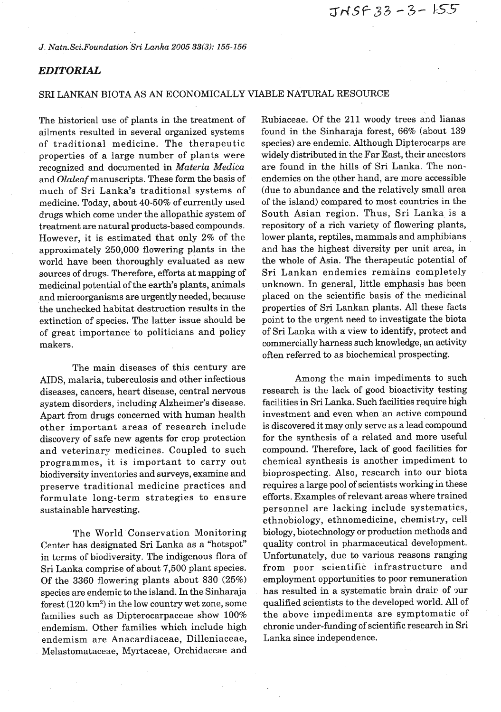*J, Natn.Sci.Foundation ~ri Lanka 2005* **33(3):** *155-156* 

## *EDITORIAL*

## SRI LANKAN BIOTA AS AN ECONOMICALLY VIABLE NATURAL RESOURCE

The historical use of plants in the treatment of ailments resulted in several organized systems of traditional medicine. The therapeutic properties of a large number of plants were recognized and documented in *Materia Medica*  and *Olaleaf* manuscripts. These form the basis of much of Sri Lanka's traditional systems of medicine. Today, about 40-50% of currently used drugs which come under the allopathic system of treatment are natural products-based compounds. However, it is estimated that only 2% of the approximately 250,000 flowering plants in the world have been thoroughly evaluated as new sources of drugs. Therefore, efforts at mapping of medicinal potential of the earth's plants, animals and microorganisms are urgently needed, because the unchecked habitat destruction results in the extinction of species. The latter issue should be of great importance to politicians and policy makers.

The main diseases of this century are AIDS, malaria, tuberculosis and other infectious diseases, cancers, heart disease, central nervous system disorders, including Alzheimer's disease. Apart from drugs concerned with human health other important areas of research include discovery of safe new agents for crop protection and veterinary medicines. Coupled to such programmes, it is important to carry out biodiversity inventories and surveys, examine and preserve traditional medicine practices and formulate long-term strategies to ensure sustainable harvesting.

The World Conservation Monitoring Center has designated Sri Lanka as a "hotspot" in terms of biodiversity. The indigenous flora of Sri Lanka comprise of about 7,500 plant species. Of the 3360 flowering plants about 830 (25%) species are endemic to the island. In the Sinharaja forest (120 **km2)** in the low country wet zone, some families such as Dipterocarpaceae show 100% endemism. Other families which include high endemism are Anacardiaceae, Dilleniaceae, Melastomataceae, Myrtaceae, Orchidaceae and

Rubiaceae. Of the 211 woody trees and lianas found in the Sinharaja forest, 66% (about 139 species) are endemic. Although Dipterocarps are widely distributed in the Far East, their ancestors are found in the hills of Sri Lanka. The nonendemics on the other hand, are more accessible (due to abundance and the relatively small area of the island) compared to most countries in the South Asian region. Thus, Sri Lanka is a repository of a rich variety of flowering plants, lower plants, reptiles, mammals and amphibians and has the highest diversity per unit area, in the whole of Asia. The therapeutic potential of Sri Lankan endemics remains completely unknown. In general, little emphasis has been placed on the scientific basis of the medicinal properties of Sri Lankan plants. All these facts point to the urgent need to investigate the biota of Sri Lanka with a view to identify, protect and commercially harness such knowledge, an activity often referred to as biochemical prospecting.

Among the main impediments to such research is the lack of good bioactivity testing facilities in Sri Lanka. Such facilities require high investment and even when an active compound is discovered it may only serve as a lead compound for the synthesis of a related and more useful compound. Therefore, lack of good facilities for chemical synthesis is another impediment to bioprospecting. Also, research into our biota requires a large pool of scientists working in these efforts. Examples of relevant areas where trained personnel are lacking include systematics, ethnobiology, ethnomedicine, chemistry, cell biology, biotechnology or production methods and quality control in pharmaceutical development. Unfortunately, due to various reasons ranging from poor scientific infrastructure and employment opportunities to poor remuneration has resulted in a systematic brain drain of  $\alpha$ ur qualified scientists to the developed world. All of the above impediments are symptomatic of chronic under-funding of scientific research in Sri Lanka since independence.